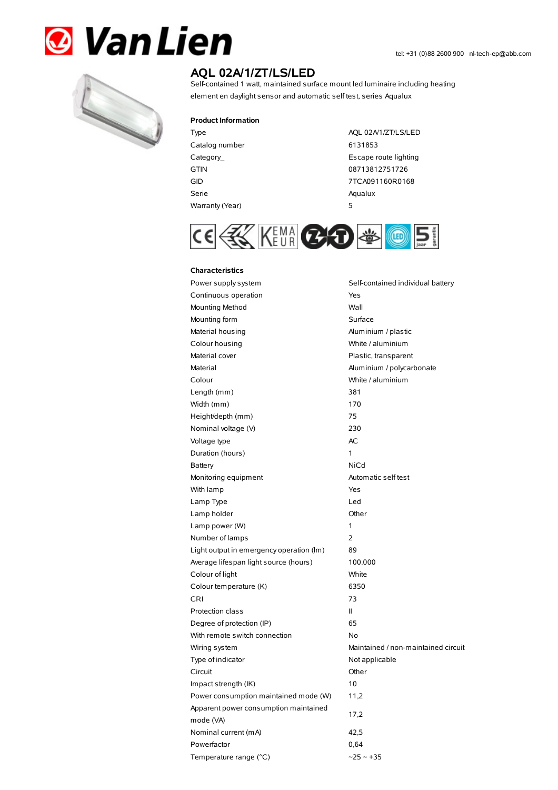



# **AQL 02A/1/ZT/LS/LED**

Self-contained 1 watt, maintained surface mount led luminaire including heating element en daylight sensor and automatic self test, series Aqualux

### **Product Information**

Catalog number 6131853 GTIN 08713812751726 Serie Aqualux Warranty(Year) 5

Type AQL 02A/1/ZT/LS/LED Category\_ **Escape route lighting** GID 7TCA091160R0168



## **Characteristics**

Power supply system Self-contained individual battery Continuous operation The Continuous operation Mounting Method Wall Mounting form **Surface** Material housing **Aluminium / plastic** Colour housing **Colour housing** White / aluminium Material cover **Plastic, transparent** Material Material Aluminium / polycarbonate Colour White / aluminium Length (mm) 381 Width (mm) 170 Height/depth (mm) 75 Nominal voltage (V) 230 Voltage type and a set of the AC Duration (hours) 1 Battery NiCd Monitoring equipment Automatic self test With lamp **Yes** Lamp Type Led Lamp holder **Community** Chern Community Community Chern Chern Chern Chern Chern Chern Chern Chern Chern Chern Chern Chern Chern Chern Chern Chern Chern Chern Chern Chern Chern Chern Chern Chern Chern Chern Chern Chern Cher Lamp power (W) 1 Number of lamps 2 Light output in emergency operation (lm) 89 Average lifespan light source (hours) 100.000 Colour of light White Colour temperature (K) 6350 CRI 73 Protection class II Degree of protection (IP) 65 With remote switch connection No Wiring system **Maintained / non-maintained circuit** Type of indicator Not applicable Circuit Other Impact strength (IK) 10 Power consumption maintained mode (W) 11,2 Apparent power consumption maintained mode (VA) 17,2 Nominal current (mA) 42,5 Powerfactor 0,64 Temperature range (°C)  $\sim$  25  $\sim$  +35